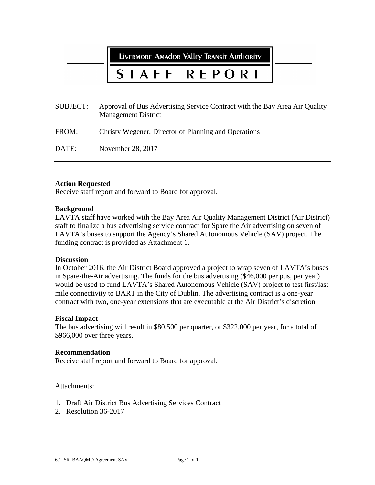LIVERMORE AMAdOR VAlley TRANSIT AUTHORITY

### STAFF **REPORT**

| Approval of Bus Advertising Service Contract with the Bay Area Air Quality<br><b>Management District</b> |
|----------------------------------------------------------------------------------------------------------|
| Christy Wegener, Director of Planning and Operations                                                     |
| November 28, 2017                                                                                        |
|                                                                                                          |

## **Action Requested**

Receive staff report and forward to Board for approval.

#### **Background**

LAVTA staff have worked with the Bay Area Air Quality Management District (Air District) staff to finalize a bus advertising service contract for Spare the Air advertising on seven of LAVTA's buses to support the Agency's Shared Autonomous Vehicle (SAV) project. The funding contract is provided as Attachment 1.

#### **Discussion**

In October 2016, the Air District Board approved a project to wrap seven of LAVTA's buses in Spare-the-Air advertising. The funds for the bus advertising (\$46,000 per pus, per year) would be used to fund LAVTA's Shared Autonomous Vehicle (SAV) project to test first/last mile connectivity to BART in the City of Dublin. The advertising contract is a one-year contract with two, one-year extensions that are executable at the Air District's discretion.

#### **Fiscal Impact**

The bus advertising will result in \$80,500 per quarter, or \$322,000 per year, for a total of \$966,000 over three years.

#### **Recommendation**

Receive staff report and forward to Board for approval.

Attachments:

- 1. Draft Air District Bus Advertising Services Contract
- 2. Resolution 36-2017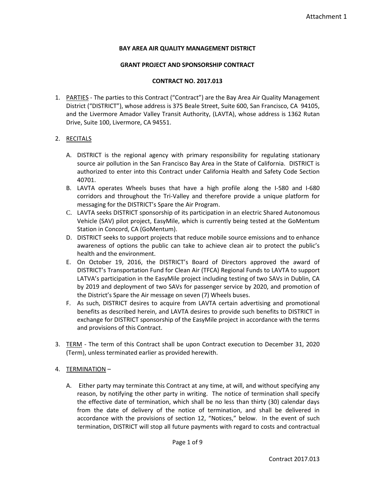## **BAY AREA AIR QUALITY MANAGEMENT DISTRICT**

#### **GRANT PROJECT AND SPONSORSHIP CONTRACT**

#### **CONTRACT NO. 2017.013**

1. PARTIES - The parties to this Contract ("Contract") are the Bay Area Air Quality Management District ("DISTRICT"), whose address is 375 Beale Street, Suite 600, San Francisco, CA 94105, and the Livermore Amador Valley Transit Authority, (LAVTA), whose address is 1362 Rutan Drive, Suite 100, Livermore, CA 94551.

#### 2. RECITALS

- A. DISTRICT is the regional agency with primary responsibility for regulating stationary source air pollution in the San Francisco Bay Area in the State of California. DISTRICT is authorized to enter into this Contract under California Health and Safety Code Section 40701.
- B. LAVTA operates Wheels buses that have a high profile along the I-580 and I-680 corridors and throughout the Tri-Valley and therefore provide a unique platform for messaging for the DISTRICT's Spare the Air Program.
- C. LAVTA seeks DISTRICT sponsorship of its participation in an electric Shared Autonomous Vehicle (SAV) pilot project, EasyMile, which is currently being tested at the GoMentum Station in Concord, CA (GoMentum).
- D. DISTRICT seeks to support projects that reduce mobile source emissions and to enhance awareness of options the public can take to achieve clean air to protect the public's health and the environment.
- E. On October 19, 2016, the DISTRICT's Board of Directors approved the award of DISTRICT's Transportation Fund for Clean Air (TFCA) Regional Funds to LAVTA to support LATVA's participation in the EasyMile project including testing of two SAVs in Dublin, CA by 2019 and deployment of two SAVs for passenger service by 2020, and promotion of the District's Spare the Air message on seven (7) Wheels buses.
- F. As such, DISTRICT desires to acquire from LAVTA certain advertising and promotional benefits as described herein, and LAVTA desires to provide such benefits to DISTRICT in exchange for DISTRICT sponsorship of the EasyMile project in accordance with the terms and provisions of this Contract.
- 3. TERM The term of this Contract shall be upon Contract execution to December 31, 2020 (Term), unless terminated earlier as provided herewith.

#### 4. TERMINATION –

A. Either party may terminate this Contract at any time, at will, and without specifying any reason, by notifying the other party in writing. The notice of termination shall specify the effective date of termination, which shall be no less than thirty (30) calendar days from the date of delivery of the notice of termination, and shall be delivered in accordance with the provisions of section 12, "Notices," below. In the event of such termination, DISTRICT will stop all future payments with regard to costs and contractual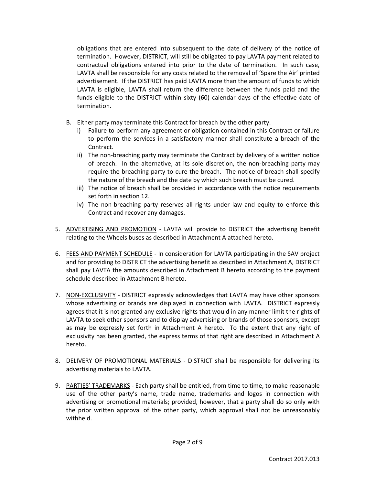obligations that are entered into subsequent to the date of delivery of the notice of termination. However, DISTRICT, will still be obligated to pay LAVTA payment related to contractual obligations entered into prior to the date of termination. In such case, LAVTA shall be responsible for any costs related to the removal of 'Spare the Air' printed advertisement. If the DISTRICT has paid LAVTA more than the amount of funds to which LAVTA is eligible, LAVTA shall return the difference between the funds paid and the funds eligible to the DISTRICT within sixty (60) calendar days of the effective date of termination.

- B. Either party may terminate this Contract for breach by the other party.
	- i) Failure to perform any agreement or obligation contained in this Contract or failure to perform the services in a satisfactory manner shall constitute a breach of the Contract.
	- ii) The non-breaching party may terminate the Contract by delivery of a written notice of breach. In the alternative, at its sole discretion, the non-breaching party may require the breaching party to cure the breach. The notice of breach shall specify the nature of the breach and the date by which such breach must be cured.
	- iii) The notice of breach shall be provided in accordance with the notice requirements set forth in section 12.
	- iv) The non-breaching party reserves all rights under law and equity to enforce this Contract and recover any damages.
- 5. ADVERTISING AND PROMOTION LAVTA will provide to DISTRICT the advertising benefit relating to the Wheels buses as described in Attachment A attached hereto.
- 6. FEES AND PAYMENT SCHEDULE In consideration for LAVTA participating in the SAV project and for providing to DISTRICT the advertising benefit as described in Attachment A, DISTRICT shall pay LAVTA the amounts described in Attachment B hereto according to the payment schedule described in Attachment B hereto.
- 7. NON-EXCLUSIVITY DISTRICT expressly acknowledges that LAVTA may have other sponsors whose advertising or brands are displayed in connection with LAVTA. DISTRICT expressly agrees that it is not granted any exclusive rights that would in any manner limit the rights of LAVTA to seek other sponsors and to display advertising or brands of those sponsors, except as may be expressly set forth in Attachment A hereto. To the extent that any right of exclusivity has been granted, the express terms of that right are described in Attachment A hereto.
- 8. DELIVERY OF PROMOTIONAL MATERIALS DISTRICT shall be responsible for delivering its advertising materials to LAVTA.
- 9. PARTIES' TRADEMARKS Each party shall be entitled, from time to time, to make reasonable use of the other party's name, trade name, trademarks and logos in connection with advertising or promotional materials; provided, however, that a party shall do so only with the prior written approval of the other party, which approval shall not be unreasonably withheld.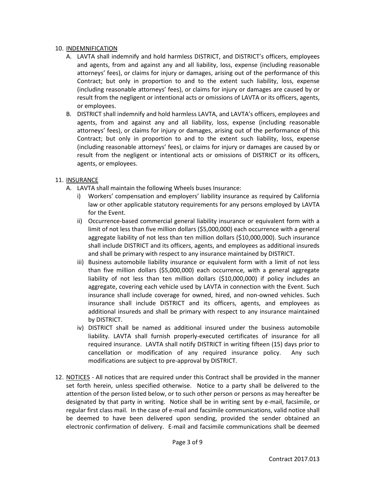### 10. INDEMNIFICATION

- A. LAVTA shall indemnify and hold harmless DISTRICT, and DISTRICT's officers, employees and agents, from and against any and all liability, loss, expense (including reasonable attorneys' fees), or claims for injury or damages, arising out of the performance of this Contract; but only in proportion to and to the extent such liability, loss, expense (including reasonable attorneys' fees), or claims for injury or damages are caused by or result from the negligent or intentional acts or omissions of LAVTA or its officers, agents, or employees.
- B. DISTRICT shall indemnify and hold harmless LAVTA, and LAVTA's officers, employees and agents, from and against any and all liability, loss, expense (including reasonable attorneys' fees), or claims for injury or damages, arising out of the performance of this Contract; but only in proportion to and to the extent such liability, loss, expense (including reasonable attorneys' fees), or claims for injury or damages are caused by or result from the negligent or intentional acts or omissions of DISTRICT or its officers, agents, or employees.

## 11. INSURANCE

- A. LAVTA shall maintain the following Wheels buses Insurance:
	- i) Workers' compensation and employers' liability insurance as required by California law or other applicable statutory requirements for any persons employed by LAVTA for the Event.
	- ii) Occurrence-based commercial general liability insurance or equivalent form with a limit of not less than five million dollars (\$5,000,000) each occurrence with a general aggregate liability of not less than ten million dollars (\$10,000,000). Such insurance shall include DISTRICT and its officers, agents, and employees as additional insureds and shall be primary with respect to any insurance maintained by DISTRICT.
	- iii) Business automobile liability insurance or equivalent form with a limit of not less than five million dollars (\$5,000,000) each occurrence, with a general aggregate liability of not less than ten million dollars (\$10,000,000) if policy includes an aggregate, covering each vehicle used by LAVTA in connection with the Event. Such insurance shall include coverage for owned, hired, and non-owned vehicles. Such insurance shall include DISTRICT and its officers, agents, and employees as additional insureds and shall be primary with respect to any insurance maintained by DISTRICT.
	- iv) DISTRICT shall be named as additional insured under the business automobile liability. LAVTA shall furnish properly-executed certificates of insurance for all required insurance. LAVTA shall notify DISTRICT in writing fifteen (15) days prior to cancellation or modification of any required insurance policy. Any such modifications are subject to pre-approval by DISTRICT.
- 12. NOTICES All notices that are required under this Contract shall be provided in the manner set forth herein, unless specified otherwise. Notice to a party shall be delivered to the attention of the person listed below, or to such other person or persons as may hereafter be designated by that party in writing. Notice shall be in writing sent by e-mail, facsimile, or regular first class mail. In the case of e-mail and facsimile communications, valid notice shall be deemed to have been delivered upon sending, provided the sender obtained an electronic confirmation of delivery. E-mail and facsimile communications shall be deemed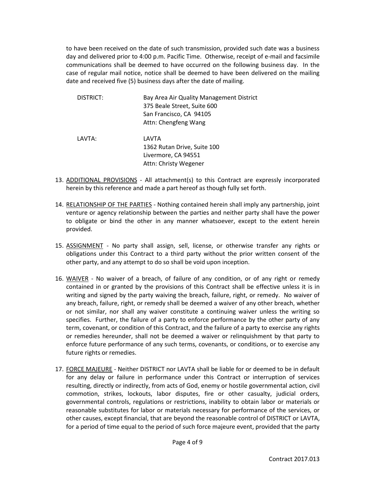to have been received on the date of such transmission, provided such date was a business day and delivered prior to 4:00 p.m. Pacific Time. Otherwise, receipt of e-mail and facsimile communications shall be deemed to have occurred on the following business day. In the case of regular mail notice, notice shall be deemed to have been delivered on the mailing date and received five (5) business days after the date of mailing.

| DISTRICT: | Bay Area Air Quality Management District<br>375 Beale Street, Suite 600<br>San Francisco, CA 94105<br>Attn: Chengfeng Wang |
|-----------|----------------------------------------------------------------------------------------------------------------------------|
| LAVTA:    | LAVTA<br>1362 Rutan Drive, Suite 100<br>Livermore, CA 94551<br>Attn: Christy Wegener                                       |

- 13. ADDITIONAL PROVISIONS All attachment(s) to this Contract are expressly incorporated herein by this reference and made a part hereof as though fully set forth.
- 14. RELATIONSHIP OF THE PARTIES Nothing contained herein shall imply any partnership, joint venture or agency relationship between the parties and neither party shall have the power to obligate or bind the other in any manner whatsoever, except to the extent herein provided.
- 15. ASSIGNMENT No party shall assign, sell, license, or otherwise transfer any rights or obligations under this Contract to a third party without the prior written consent of the other party, and any attempt to do so shall be void upon inception.
- 16. WAIVER No waiver of a breach, of failure of any condition, or of any right or remedy contained in or granted by the provisions of this Contract shall be effective unless it is in writing and signed by the party waiving the breach, failure, right, or remedy. No waiver of any breach, failure, right, or remedy shall be deemed a waiver of any other breach, whether or not similar, nor shall any waiver constitute a continuing waiver unless the writing so specifies. Further, the failure of a party to enforce performance by the other party of any term, covenant, or condition of this Contract, and the failure of a party to exercise any rights or remedies hereunder, shall not be deemed a waiver or relinquishment by that party to enforce future performance of any such terms, covenants, or conditions, or to exercise any future rights or remedies.
- 17. FORCE MAJEURE Neither DISTRICT nor LAVTA shall be liable for or deemed to be in default for any delay or failure in performance under this Contract or interruption of services resulting, directly or indirectly, from acts of God, enemy or hostile governmental action, civil commotion, strikes, lockouts, labor disputes, fire or other casualty, judicial orders, governmental controls, regulations or restrictions, inability to obtain labor or materials or reasonable substitutes for labor or materials necessary for performance of the services, or other causes, except financial, that are beyond the reasonable control of DISTRICT or LAVTA, for a period of time equal to the period of such force majeure event, provided that the party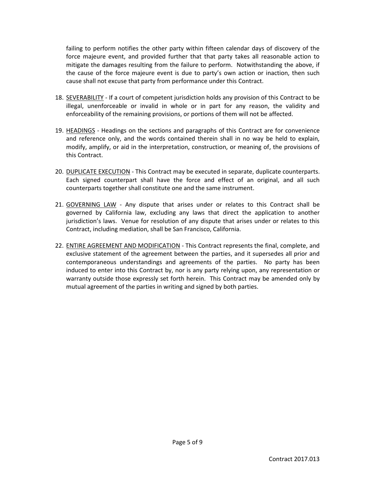failing to perform notifies the other party within fifteen calendar days of discovery of the force majeure event, and provided further that that party takes all reasonable action to mitigate the damages resulting from the failure to perform. Notwithstanding the above, if the cause of the force majeure event is due to party's own action or inaction, then such cause shall not excuse that party from performance under this Contract.

- 18. SEVERABILITY If a court of competent jurisdiction holds any provision of this Contract to be illegal, unenforceable or invalid in whole or in part for any reason, the validity and enforceability of the remaining provisions, or portions of them will not be affected.
- 19. HEADINGS Headings on the sections and paragraphs of this Contract are for convenience and reference only, and the words contained therein shall in no way be held to explain, modify, amplify, or aid in the interpretation, construction, or meaning of, the provisions of this Contract.
- 20. DUPLICATE EXECUTION This Contract may be executed in separate, duplicate counterparts. Each signed counterpart shall have the force and effect of an original, and all such counterparts together shall constitute one and the same instrument.
- 21. GOVERNING LAW Any dispute that arises under or relates to this Contract shall be governed by California law, excluding any laws that direct the application to another jurisdiction's laws. Venue for resolution of any dispute that arises under or relates to this Contract, including mediation, shall be San Francisco, California.
- 22. ENTIRE AGREEMENT AND MODIFICATION This Contract represents the final, complete, and exclusive statement of the agreement between the parties, and it supersedes all prior and contemporaneous understandings and agreements of the parties. No party has been induced to enter into this Contract by, nor is any party relying upon, any representation or warranty outside those expressly set forth herein. This Contract may be amended only by mutual agreement of the parties in writing and signed by both parties.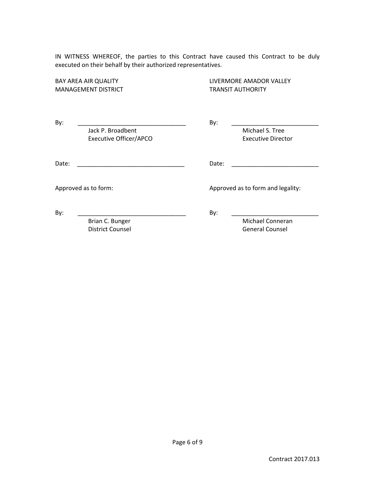IN WITNESS WHEREOF, the parties to this Contract have caused this Contract to be duly executed on their behalf by their authorized representatives.

MANAGEMENT DISTRICT **TRANSIT AUTHORITY** 

BAY AREA AIR QUALITY LIVERMORE AMADOR VALLEY

By: \_\_\_\_\_\_\_\_\_\_\_\_\_\_\_\_\_\_\_\_\_\_\_\_\_\_\_\_\_\_\_\_ By: \_\_\_\_\_\_\_\_\_\_\_\_\_\_\_\_\_\_\_\_\_\_\_\_\_\_ Jack P. Broadbent Michael S. Tree Executive Officer/APCO Executive Director

Date: \_\_\_\_\_\_\_\_\_\_\_\_\_\_\_\_\_\_\_\_\_\_\_\_\_\_\_\_\_\_\_\_ Date: \_\_\_\_\_\_\_\_\_\_\_\_\_\_\_\_\_\_\_\_\_\_\_\_\_\_

Approved as to form:  $\blacksquare$ 

By: \_\_\_\_\_\_\_\_\_\_\_\_\_\_\_\_\_\_\_\_\_\_\_\_\_\_\_\_\_\_\_\_ By: \_\_\_\_\_\_\_\_\_\_\_\_\_\_\_\_\_\_\_\_\_\_\_\_\_\_ Brian C. Bunger **Michael Conneran** Michael Conneran District Counsel Counsel Counsel Counsel Counsel Counsel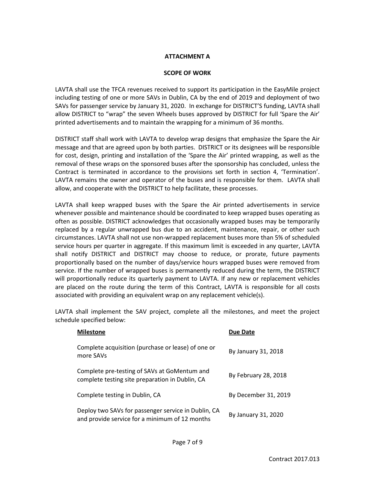### **ATTACHMENT A**

#### **SCOPE OF WORK**

LAVTA shall use the TFCA revenues received to support its participation in the EasyMile project including testing of one or more SAVs in Dublin, CA by the end of 2019 and deployment of two SAVs for passenger service by January 31, 2020. In exchange for DISTRICT'S funding, LAVTA shall allow DISTRICT to "wrap" the seven Wheels buses approved by DISTRICT for full 'Spare the Air' printed advertisements and to maintain the wrapping for a minimum of 36 months.

DISTRICT staff shall work with LAVTA to develop wrap designs that emphasize the Spare the Air message and that are agreed upon by both parties. DISTRICT or its designees will be responsible for cost, design, printing and installation of the 'Spare the Air' printed wrapping, as well as the removal of these wraps on the sponsored buses after the sponsorship has concluded, unless the Contract is terminated in accordance to the provisions set forth in section 4, 'Termination'. LAVTA remains the owner and operator of the buses and is responsible for them. LAVTA shall allow, and cooperate with the DISTRICT to help facilitate, these processes.

LAVTA shall keep wrapped buses with the Spare the Air printed advertisements in service whenever possible and maintenance should be coordinated to keep wrapped buses operating as often as possible. DISTRICT acknowledges that occasionally wrapped buses may be temporarily replaced by a regular unwrapped bus due to an accident, maintenance, repair, or other such circumstances. LAVTA shall not use non-wrapped replacement buses more than 5% of scheduled service hours per quarter in aggregate. If this maximum limit is exceeded in any quarter, LAVTA shall notify DISTRICT and DISTRICT may choose to reduce, or prorate, future payments proportionally based on the number of days/service hours wrapped buses were removed from service. If the number of wrapped buses is permanently reduced during the term, the DISTRICT will proportionally reduce its quarterly payment to LAVTA. If any new or replacement vehicles are placed on the route during the term of this Contract, LAVTA is responsible for all costs associated with providing an equivalent wrap on any replacement vehicle(s).

LAVTA shall implement the SAV project, complete all the milestones, and meet the project schedule specified below:

| <b>Milestone</b>                                                                                      | Due Date             |
|-------------------------------------------------------------------------------------------------------|----------------------|
| Complete acquisition (purchase or lease) of one or<br>more SAVs                                       | By January 31, 2018  |
| Complete pre-testing of SAVs at GoMentum and<br>complete testing site preparation in Dublin, CA       | By February 28, 2018 |
| Complete testing in Dublin, CA                                                                        | By December 31, 2019 |
| Deploy two SAVs for passenger service in Dublin, CA<br>and provide service for a minimum of 12 months | By January 31, 2020  |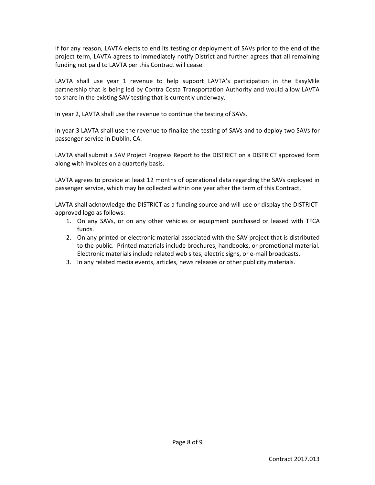If for any reason, LAVTA elects to end its testing or deployment of SAVs prior to the end of the project term, LAVTA agrees to immediately notify District and further agrees that all remaining funding not paid to LAVTA per this Contract will cease.

LAVTA shall use year 1 revenue to help support LAVTA's participation in the EasyMile partnership that is being led by Contra Costa Transportation Authority and would allow LAVTA to share in the existing SAV testing that is currently underway.

In year 2, LAVTA shall use the revenue to continue the testing of SAVs.

In year 3 LAVTA shall use the revenue to finalize the testing of SAVs and to deploy two SAVs for passenger service in Dublin, CA.

LAVTA shall submit a SAV Project Progress Report to the DISTRICT on a DISTRICT approved form along with invoices on a quarterly basis.

LAVTA agrees to provide at least 12 months of operational data regarding the SAVs deployed in passenger service, which may be collected within one year after the term of this Contract.

LAVTA shall acknowledge the DISTRICT as a funding source and will use or display the DISTRICTapproved logo as follows:

- 1. On any SAVs, or on any other vehicles or equipment purchased or leased with TFCA funds.
- 2. On any printed or electronic material associated with the SAV project that is distributed to the public. Printed materials include brochures, handbooks, or promotional material. Electronic materials include related web sites, electric signs, or e-mail broadcasts.
- 3. In any related media events, articles, news releases or other publicity materials.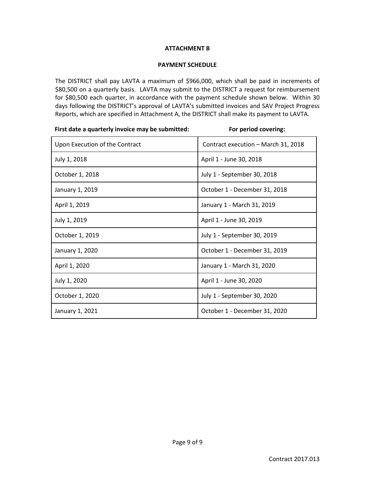## **ATTACHMENT B**

#### **PAYMENT SCHEDULE**

The DISTRICT shall pay LAVTA a maximum of \$966,000, which shall be paid in increments of \$80,500 on a quarterly basis. LAVTA may submit to the DISTRICT a request for reimbursement for \$80,500 each quarter, in accordance with the payment schedule shown below. Within 30 days following the DISTRICT's approval of LAVTA's submitted invoices and SAV Project Progress Reports, which are specified in Attachment A, the DISTRICT shall make its payment to LAVTA.

| First date a quarterly invoice may be submitted: | For period covering:                |
|--------------------------------------------------|-------------------------------------|
| Upon Execution of the Contract                   | Contract execution - March 31, 2018 |
| July 1, 2018                                     | April 1 - June 30, 2018             |
| October 1, 2018                                  | July 1 - September 30, 2018         |
| January 1, 2019                                  | October 1 - December 31, 2018       |
| April 1, 2019                                    | January 1 - March 31, 2019          |
| July 1, 2019                                     | April 1 - June 30, 2019             |
| October 1, 2019                                  | July 1 - September 30, 2019         |
| January 1, 2020                                  | October 1 - December 31, 2019       |
| April 1, 2020                                    | January 1 - March 31, 2020          |
| July 1, 2020                                     | April 1 - June 30, 2020             |
| October 1, 2020                                  | July 1 - September 30, 2020         |
| January 1, 2021                                  | October 1 - December 31, 2020       |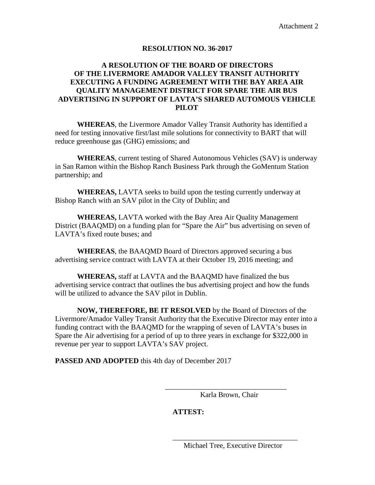# **RESOLUTION NO. 36-2017**

# **A RESOLUTION OF THE BOARD OF DIRECTORS OF THE LIVERMORE AMADOR VALLEY TRANSIT AUTHORITY EXECUTING A FUNDING AGREEMENT WITH THE BAY AREA AIR QUALITY MANAGEMENT DISTRICT FOR SPARE THE AIR BUS ADVERTISING IN SUPPORT OF LAVTA'S SHARED AUTOMOUS VEHICLE PILOT**

**WHEREAS**, the Livermore Amador Valley Transit Authority has identified a need for testing innovative first/last mile solutions for connectivity to BART that will reduce greenhouse gas (GHG) emissions; and

**WHEREAS**, current testing of Shared Autonomous Vehicles (SAV) is underway in San Ramon within the Bishop Ranch Business Park through the GoMentum Station partnership; and

**WHEREAS,** LAVTA seeks to build upon the testing currently underway at Bishop Ranch with an SAV pilot in the City of Dublin; and

**WHEREAS,** LAVTA worked with the Bay Area Air Quality Management District (BAAQMD) on a funding plan for "Spare the Air" bus advertising on seven of LAVTA's fixed route buses; and

**WHEREAS**, the BAAQMD Board of Directors approved securing a bus advertising service contract with LAVTA at their October 19, 2016 meeting; and

**WHEREAS,** staff at LAVTA and the BAAQMD have finalized the bus advertising service contract that outlines the bus advertising project and how the funds will be utilized to advance the SAV pilot in Dublin.

**NOW, THEREFORE, BE IT RESOLVED** by the Board of Directors of the Livermore/Amador Valley Transit Authority that the Executive Director may enter into a funding contract with the BAAQMD for the wrapping of seven of LAVTA's buses in Spare the Air advertising for a period of up to three years in exchange for \$322,000 in revenue per year to support LAVTA's SAV project.

**PASSED AND ADOPTED** this 4th day of December 2017

Karla Brown, Chair

# **ATTEST:**

 $\overline{\phantom{a}}$  ,  $\overline{\phantom{a}}$  ,  $\overline{\phantom{a}}$  ,  $\overline{\phantom{a}}$  ,  $\overline{\phantom{a}}$  ,  $\overline{\phantom{a}}$  ,  $\overline{\phantom{a}}$  ,  $\overline{\phantom{a}}$  ,  $\overline{\phantom{a}}$  ,  $\overline{\phantom{a}}$  ,  $\overline{\phantom{a}}$  ,  $\overline{\phantom{a}}$  ,  $\overline{\phantom{a}}$  ,  $\overline{\phantom{a}}$  ,  $\overline{\phantom{a}}$  ,  $\overline{\phantom{a}}$